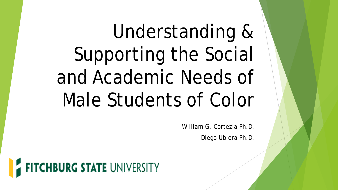# Understanding & Supporting the Social and Academic Needs of Male Students of Color

William G. Cortezia Ph.D. Diego Ubiera Ph.D.

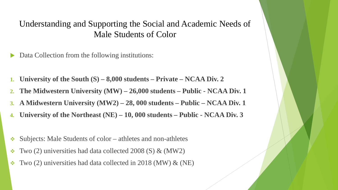#### Understanding and Supporting the Social and Academic Needs of Male Students of Color

- Data Collection from the following institutions:
- **1. University of the South (S) – 8,000 students – Private – NCAA Div. 2**
- **2. The Midwestern University (MW) – 26,000 students – Public - NCAA Div. 1**
- **3. A Midwestern University (MW2) – 28, 000 students – Public – NCAA Div. 1**
- **4. University of the Northeast (NE) – 10, 000 students – Public - NCAA Div. 3**
- $\triangle$  Subjects: Male Students of color athletes and non-athletes
- $\div$  Two (2) universities had data collected 2008 (S) & (MW2)
- $\cdot$  Two (2) universities had data collected in 2018 (MW) & (NE)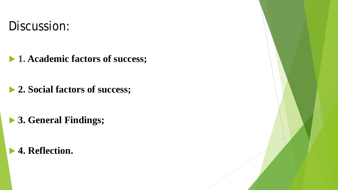## Discussion:

- **1. Academic factors of success;**
- **2. Social factors of success;**
- **3. General Findings;**
- **4. Reflection.**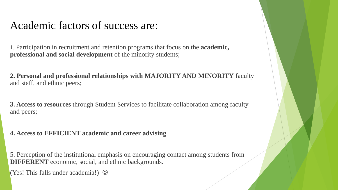### Academic factors of success are:

1. Participation in recruitment and retention programs that focus on the **academic, professional and social development** of the minority students;

**2. Personal and professional relationships with MAJORITY AND MINORITY** faculty and staff, and ethnic peers;

**3. Access to resources** through Student Services to facilitate collaboration among faculty and peers;

**4. Access to EFFICIENT academic and career advising**.

5. Perception of the institutional emphasis on encouraging contact among students from **DIFFERENT** economic, social, and ethnic backgrounds.

(Yes! This falls under academia!)  $\odot$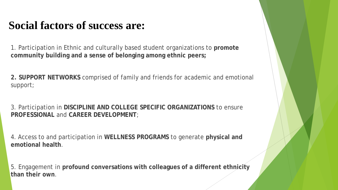## **Social factors of success are:**

1. Participation in Ethnic and culturally based student organizations to **promote community building and a sense of belonging among ethnic peers;**

**2. SUPPORT NETWORKS** comprised of family and friends for academic and emotional support;

3. Participation in **DISCIPLINE AND COLLEGE SPECIFIC ORGANIZATIONS** to ensure **PROFESSIONAL** and **CAREER DEVELOPMENT**;

4. Access to and participation in **WELLNESS PROGRAMS** to generate **physical and emotional health**.

5. Engagement in **profound conversations with colleagues of a different ethnicity than their own**.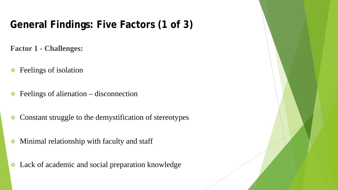## **General Findings: Five Factors (1 of 3)**

**Factor 1 - Challenges:**

- **★** Feelings of isolation
- $\div$  Feelings of alienation disconnection
- Constant struggle to the demystification of stereotypes
- Minimal relationship with faculty and staff
- Lack of academic and social preparation knowledge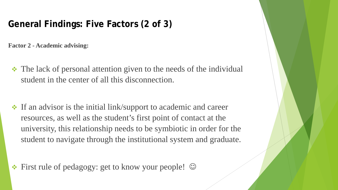#### **General Findings: Five Factors (2 of 3)**

**Factor 2 - Academic advising:** 

- The lack of personal attention given to the needs of the individual student in the center of all this disconnection.
- $\cdot$  If an advisor is the initial link/support to academic and career resources, as well as the student's first point of contact at the university, this relationship needs to be symbiotic in order for the student to navigate through the institutional system and graduate.

 $\cdot \cdot$  First rule of pedagogy: get to know your people!  $\odot$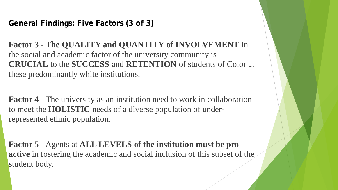**General Findings: Five Factors (3 of 3)**

**Factor 3 - The QUALITY and QUANTITY of INVOLVEMENT** in the social and academic factor of the university community is **CRUCIAL** to the **SUCCESS** and **RETENTION** of students of Color at these predominantly white institutions.

**Factor 4** - The university as an institution need to work in collaboration to meet the **HOLISTIC** needs of a diverse population of underrepresented ethnic population.

**Factor 5** - Agents at **ALL LEVELS of the institution must be proactive** in fostering the academic and social inclusion of this subset of the student body.